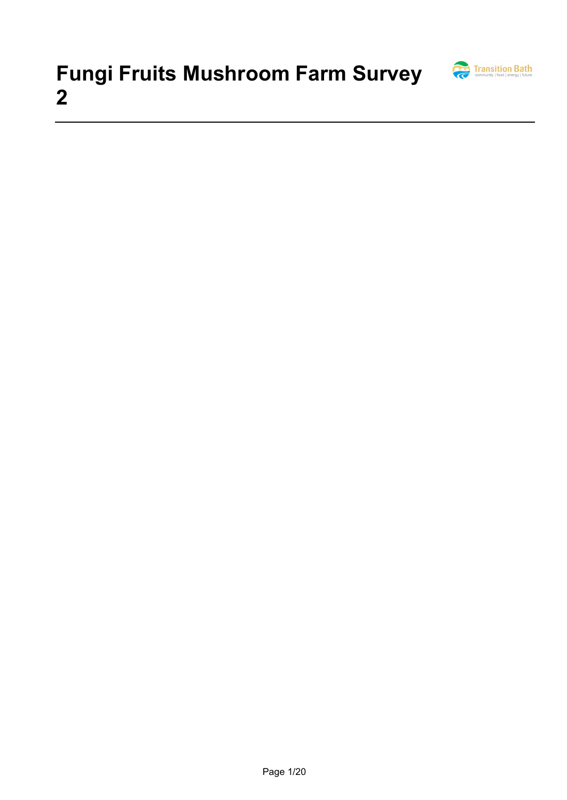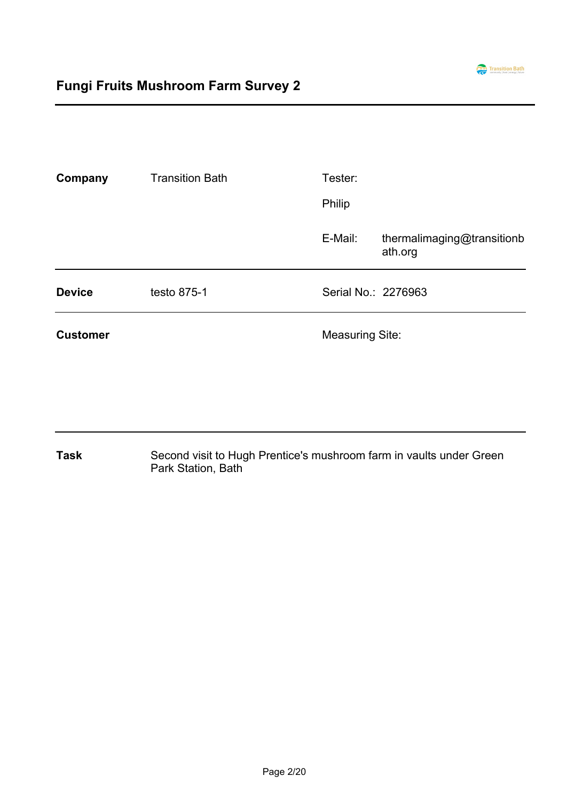

| Company         | <b>Transition Bath</b> | Tester:                |                                       |  |
|-----------------|------------------------|------------------------|---------------------------------------|--|
|                 |                        | <b>Philip</b>          |                                       |  |
|                 |                        | E-Mail:                | thermalimaging@transitionb<br>ath.org |  |
| <b>Device</b>   | testo 875-1            | Serial No.: 2276963    |                                       |  |
| <b>Customer</b> |                        | <b>Measuring Site:</b> |                                       |  |

Second visit to Hugh Prentice's mushroom farm in vaults under Green Park Station, Bath **Task**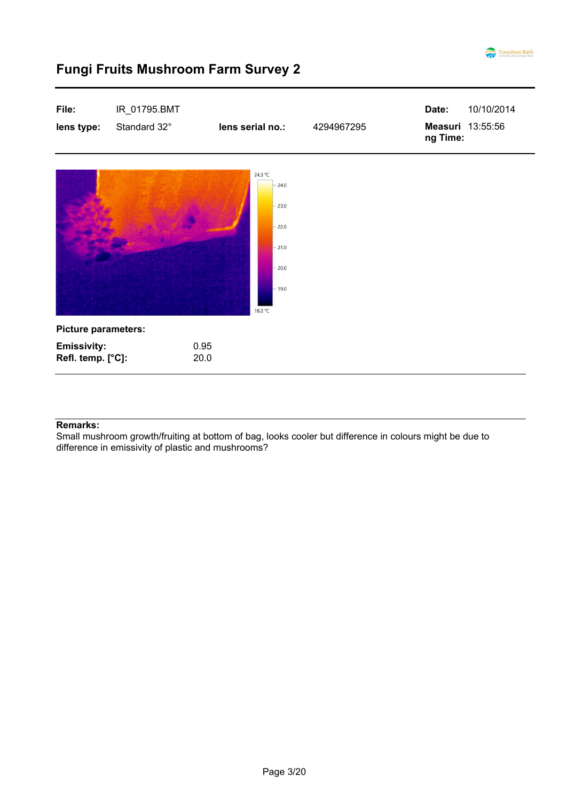

| File:<br>lens type:                     | IR_01795.BMT<br>Standard 32° | lens serial no.:                                                                     | 4294967295 | Date:<br>Measuri 13:55:56<br>ng Time: | 10/10/2014 |
|-----------------------------------------|------------------------------|--------------------------------------------------------------------------------------|------------|---------------------------------------|------------|
|                                         |                              | 24.3 °C<br>$-24.0$<br>$-23.0$<br>$-22.0$<br>$-21.0$<br>$-20.0$<br>$-19.0$<br>18.2 °C |            |                                       |            |
| <b>Picture parameters:</b>              |                              |                                                                                      |            |                                       |            |
| <b>Emissivity:</b><br>Refl. temp. [°C]: |                              | 0.95<br>20.0                                                                         |            |                                       |            |

#### **Remarks:**

Small mushroom growth/fruiting at bottom of bag, looks cooler but difference in colours might be due to difference in emissivity of plastic and mushrooms?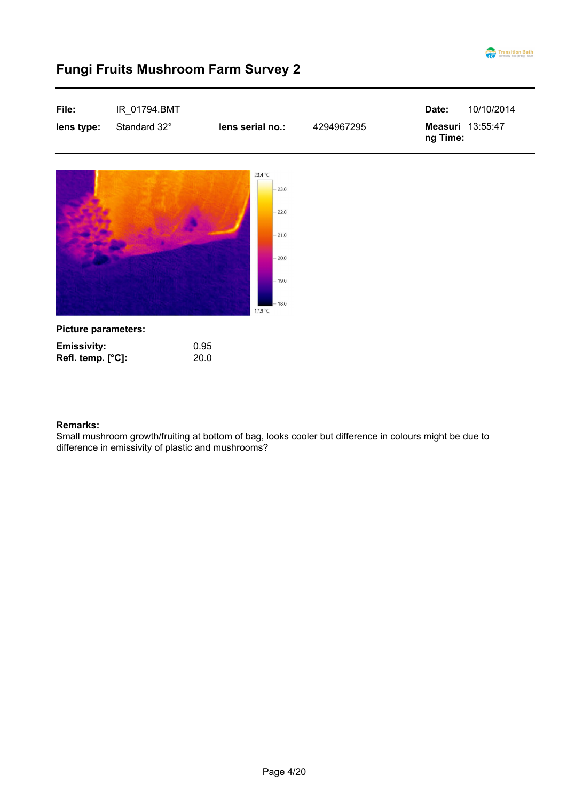

| File:<br>lens type:                     | IR_01794.BMT<br>Standard 32° | lens serial no.:                                                                     | 4294967295 | Date:<br>10/10/2014<br>Measuri 13:55:47<br>ng Time: |
|-----------------------------------------|------------------------------|--------------------------------------------------------------------------------------|------------|-----------------------------------------------------|
|                                         |                              | 23.4 °C<br>$-23.0$<br>$-22.0$<br>$-21.0$<br>$-20.0$<br>$-19.0$<br>$-18.0$<br>17.9 °C |            |                                                     |
| <b>Picture parameters:</b>              |                              |                                                                                      |            |                                                     |
| <b>Emissivity:</b><br>Refl. temp. [°C]: |                              | 0.95<br>20.0                                                                         |            |                                                     |

#### **Remarks:**

Small mushroom growth/fruiting at bottom of bag, looks cooler but difference in colours might be due to difference in emissivity of plastic and mushrooms?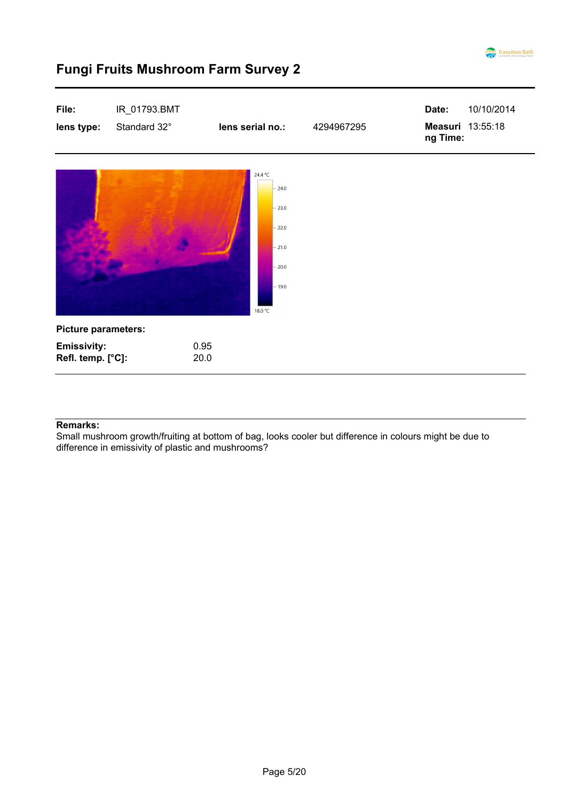

| File:<br>lens type:                     | IR_01793.BMT<br>Standard 32° | lens serial no.:                                                                     | 4294967295 | Date:<br>ng Time: | 10/10/2014<br>Measuri 13:55:18 |
|-----------------------------------------|------------------------------|--------------------------------------------------------------------------------------|------------|-------------------|--------------------------------|
|                                         |                              | 24.4 °C<br>$-24.0$<br>$-23.0$<br>$-22.0$<br>$-21.0$<br>$-20.0$<br>$-19.0$<br>18.0 °C |            |                   |                                |
| <b>Picture parameters:</b>              |                              |                                                                                      |            |                   |                                |
| <b>Emissivity:</b><br>Refl. temp. [°C]: |                              | 0.95<br>20.0                                                                         |            |                   |                                |

#### **Remarks:**

Small mushroom growth/fruiting at bottom of bag, looks cooler but difference in colours might be due to difference in emissivity of plastic and mushrooms?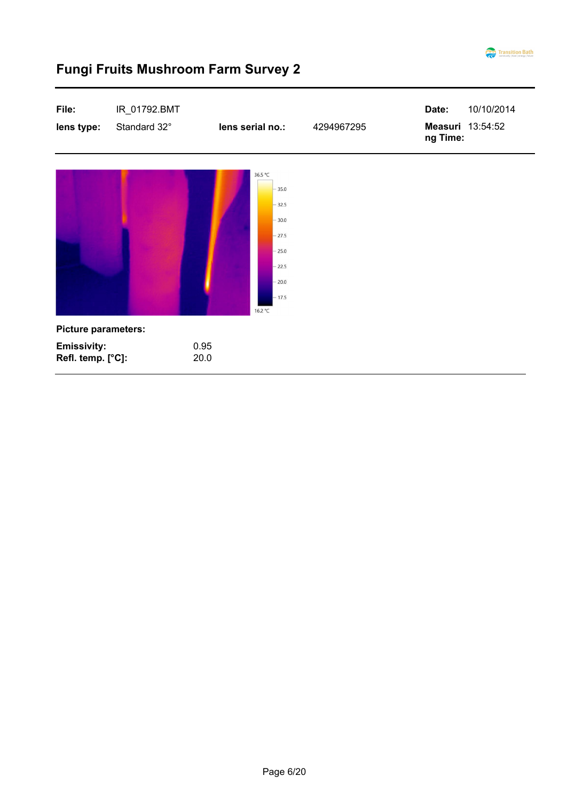

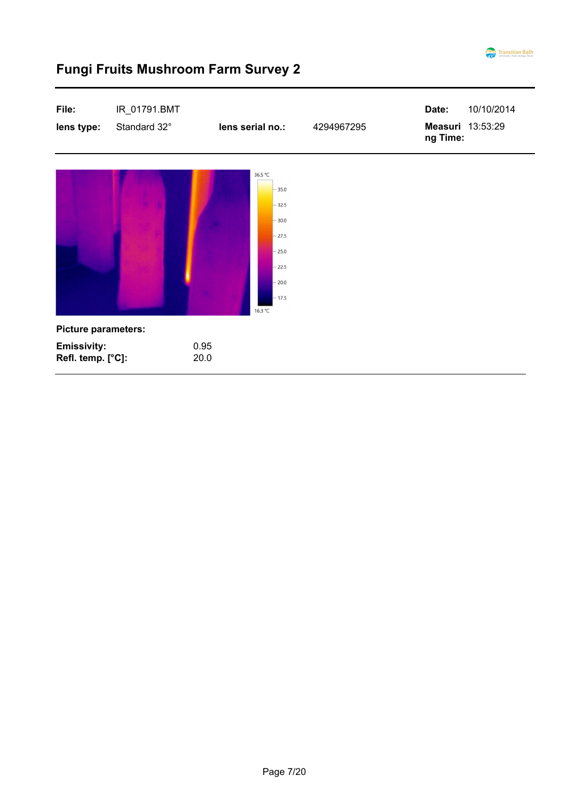

| File:<br>lens type:                     | IR_01791.BMT<br>Standard 32° | lens serial no.:                                                                                           | 4294967295 | Date:<br>10/10/2014<br>Measuri 13:53:29<br>ng Time: |
|-----------------------------------------|------------------------------|------------------------------------------------------------------------------------------------------------|------------|-----------------------------------------------------|
|                                         |                              | 36.5 °C<br>$-35.0$<br>$-32.5$<br>$-30.0$<br>$-27.5$<br>$-25.0$<br>$-22.5$<br>$-20.0$<br>$-17.5$<br>16.3 °C |            |                                                     |
| <b>Picture parameters:</b>              |                              |                                                                                                            |            |                                                     |
| <b>Emissivity:</b><br>Refl. temp. [°C]: |                              | 0.95<br>20.0                                                                                               |            |                                                     |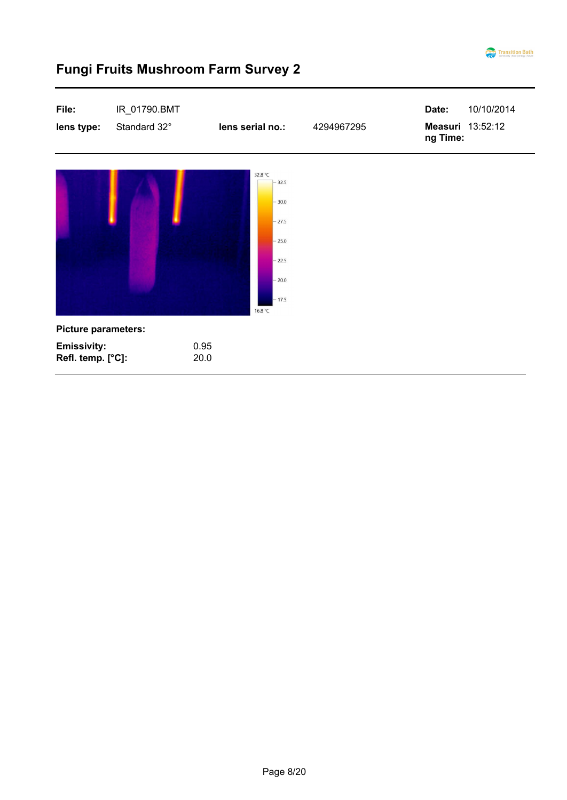

| File:<br>lens type:                                                   | IR_01790.BMT<br>Standard 32° | lens serial no.:                                                                             | 4294967295 | 10/10/2014<br>Date:<br>Measuri 13:52:12<br>ng Time: |
|-----------------------------------------------------------------------|------------------------------|----------------------------------------------------------------------------------------------|------------|-----------------------------------------------------|
|                                                                       |                              | 32.8 °C<br>32.5<br>$-30.0$<br>$-27.5$<br>$-25.0$<br>$-22.5$<br>$-20.0$<br>$-17.5$<br>16.8 °C |            |                                                     |
| <b>Picture parameters:</b><br><b>Emissivity:</b><br>Refl. temp. [°C]: |                              | 0.95<br>20.0                                                                                 |            |                                                     |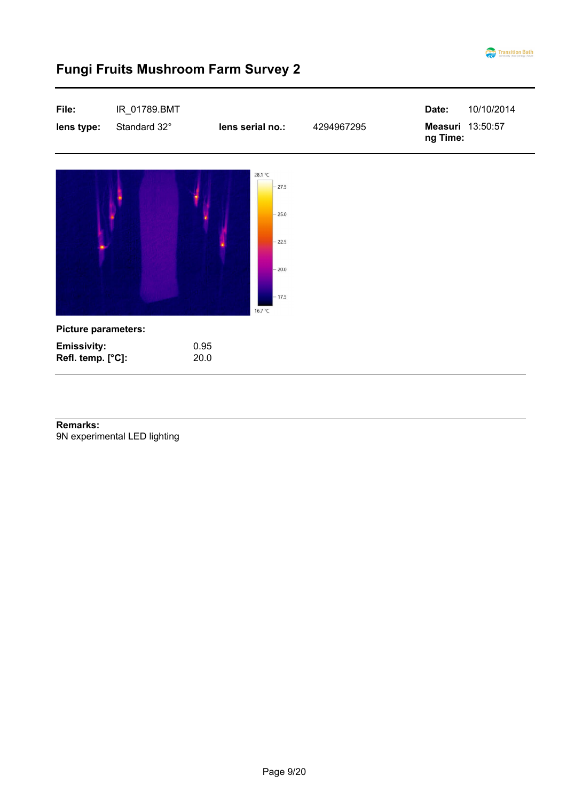



9N experimental LED lighting **Remarks:**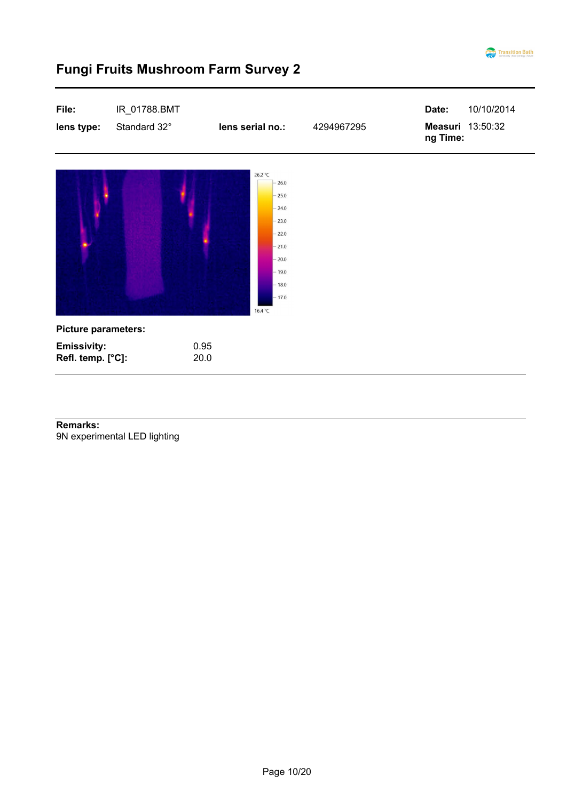

| File:<br>lens type:                     | IR_01788.BMT<br>Standard 32° | lens serial no.:                                                                                                              | 4294967295 | Date:<br>Measuri 13:50:32<br>ng Time: | 10/10/2014 |
|-----------------------------------------|------------------------------|-------------------------------------------------------------------------------------------------------------------------------|------------|---------------------------------------|------------|
|                                         |                              | 26.2 °C<br>26.0<br>$-25.0$<br>$-24.0$<br>$-23.0$<br>$-22.0$<br>$-21.0$<br>$-20.0$<br>$-19.0$<br>$-18.0$<br>$-17.0$<br>16.4 °C |            |                                       |            |
| <b>Picture parameters:</b>              |                              |                                                                                                                               |            |                                       |            |
| <b>Emissivity:</b><br>Refl. temp. [°C]: | 0.95<br>20.0                 |                                                                                                                               |            |                                       |            |

9N experimental LED lighting **Remarks:**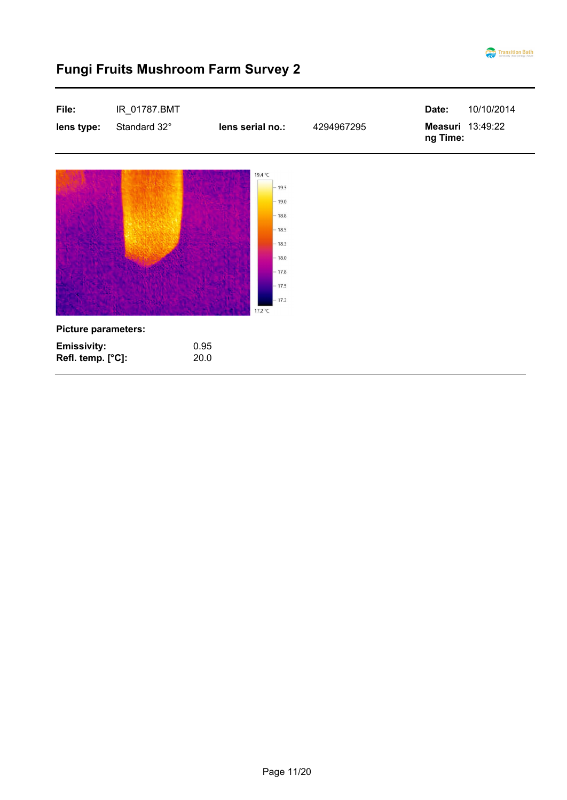

#### **File:** IR\_01787.BMT 10/10/2014 **Date: Measuri lens type:** Standard 32° **lens serial no.:** 4294967295 13:49:22 **ng Time:** 19.4 °C  $-19.3$  $-19.0$  $-18.8$  $-18.5$  $-18.3$  $-18.0$  $-17.8$  $-17.5$  $-17.3$ 17.2 °C **Picture parameters: Emissivity:** 0.95 **Refl. temp. [°C]:** 20.0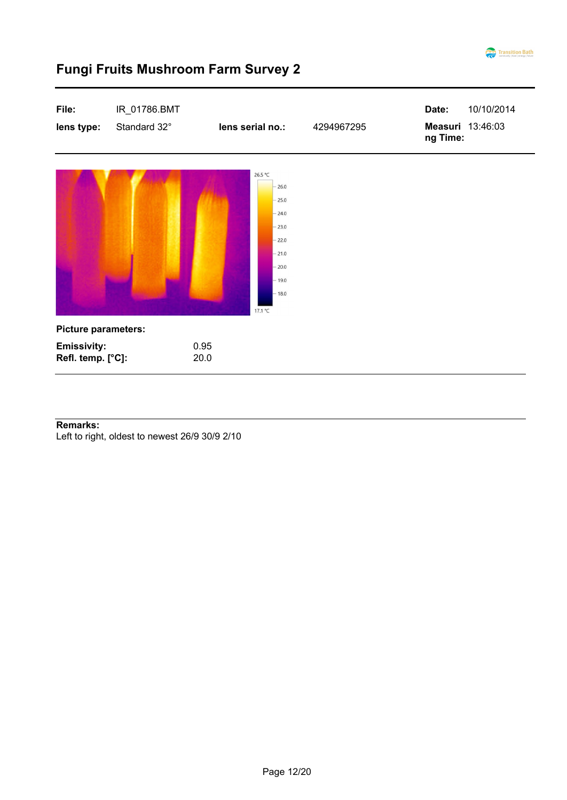



#### **Remarks:**

Left to right, oldest to newest 26/9 30/9 2/10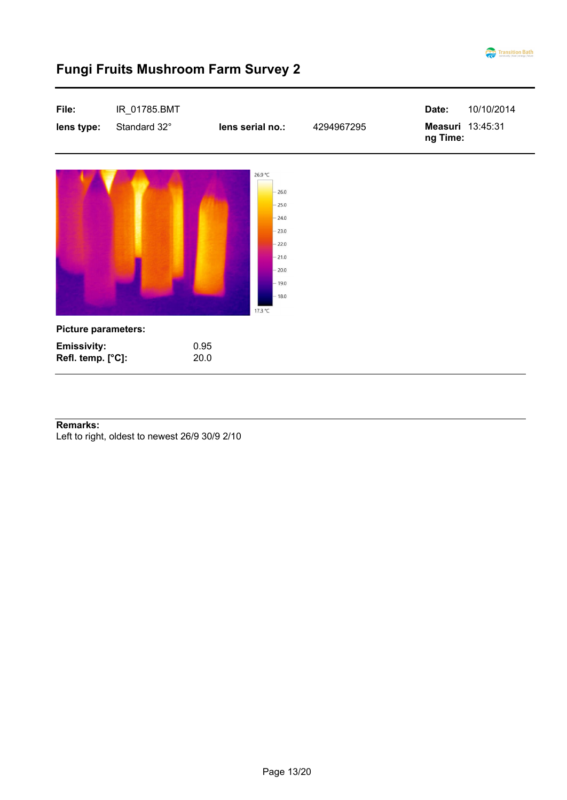

| File:<br>lens type:                     | IR_01785.BMT<br>Standard 32° | lens serial no.:                                                                                                      | 4294967295 | Date:<br>ng Time: | 10/10/2014<br>Measuri 13:45:31 |
|-----------------------------------------|------------------------------|-----------------------------------------------------------------------------------------------------------------------|------------|-------------------|--------------------------------|
|                                         |                              | 26.9 °C<br>$-26.0$<br>$-25.0$<br>$-24.0$<br>$-23.0$<br>$-22.0$<br>$-21.0$<br>$-20.0$<br>$-19.0$<br>$-18.0$<br>17.3 °C |            |                   |                                |
| <b>Picture parameters:</b>              |                              |                                                                                                                       |            |                   |                                |
| <b>Emissivity:</b><br>Refl. temp. [°C]: |                              | 0.95<br>20.0                                                                                                          |            |                   |                                |

#### **Remarks:**

Left to right, oldest to newest 26/9 30/9 2/10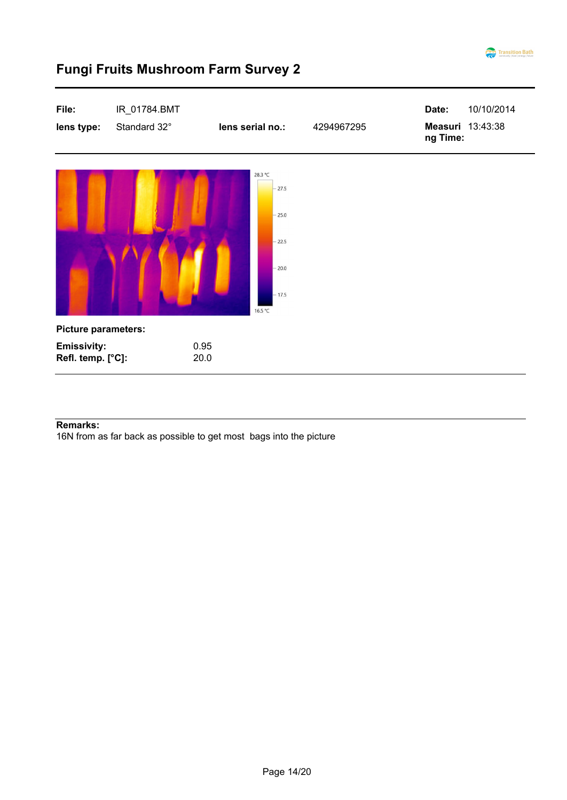



#### **Remarks:**

16N from as far back as possible to get most bags into the picture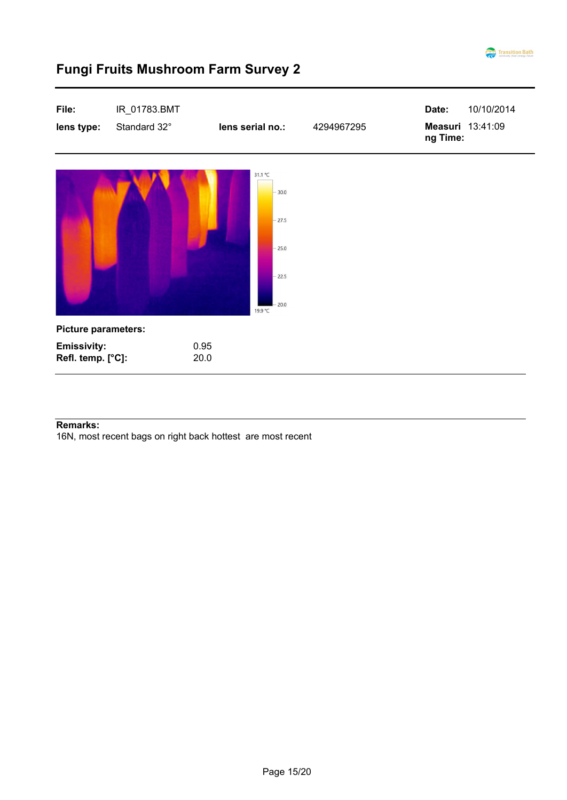

| File:<br>lens type:                     | IR_01783.BMT<br>Standard 32° | lens serial no.:                                                          | 4294967295 | Date:<br>Measuri 13:41:09<br>ng Time: | 10/10/2014 |
|-----------------------------------------|------------------------------|---------------------------------------------------------------------------|------------|---------------------------------------|------------|
|                                         |                              | 31.1 °C<br>$-30.0$<br>$-27.5$<br>$-25.0$<br>$-22.5$<br>$-20.0$<br>19.9 °C |            |                                       |            |
| <b>Picture parameters:</b>              |                              |                                                                           |            |                                       |            |
| <b>Emissivity:</b><br>Refl. temp. [°C]: | 0.95<br>20.0                 |                                                                           |            |                                       |            |

#### **Remarks:**

16N, most recent bags on right back hottest are most recent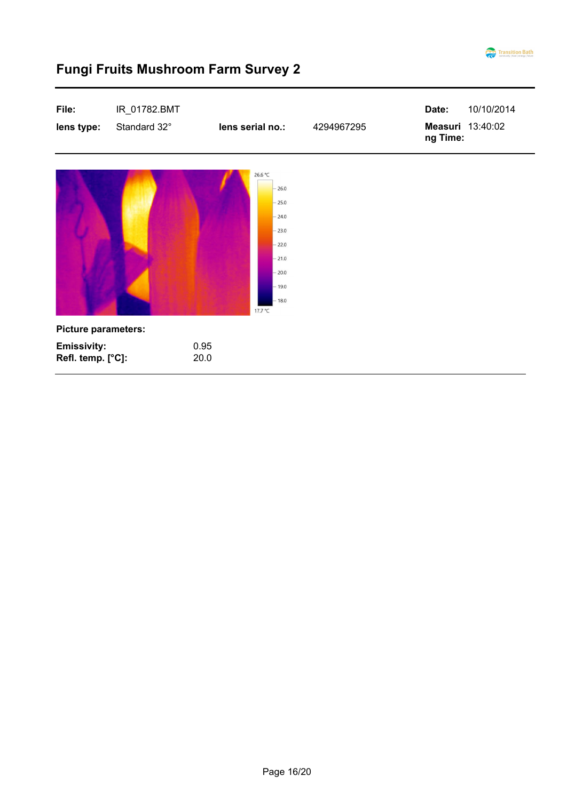

| File:<br>lens type:                     | IR_01782.BMT<br>Standard 32° | lens serial no.:                                                                                                   | 4294967295 | Date:<br>ng Time: | 10/10/2014<br>Measuri 13:40:02 |
|-----------------------------------------|------------------------------|--------------------------------------------------------------------------------------------------------------------|------------|-------------------|--------------------------------|
|                                         |                              | 26.6 °C<br>26.0<br>$-25.0$<br>$-24.0$<br>$-23.0$<br>$-22.0$<br>$-21.0$<br>$-20.0$<br>$-19.0$<br>$-18.0$<br>17.7 °C |            |                   |                                |
| <b>Picture parameters:</b>              |                              |                                                                                                                    |            |                   |                                |
| <b>Emissivity:</b><br>Refl. temp. [°C]: |                              | 0.95<br>20.0                                                                                                       |            |                   |                                |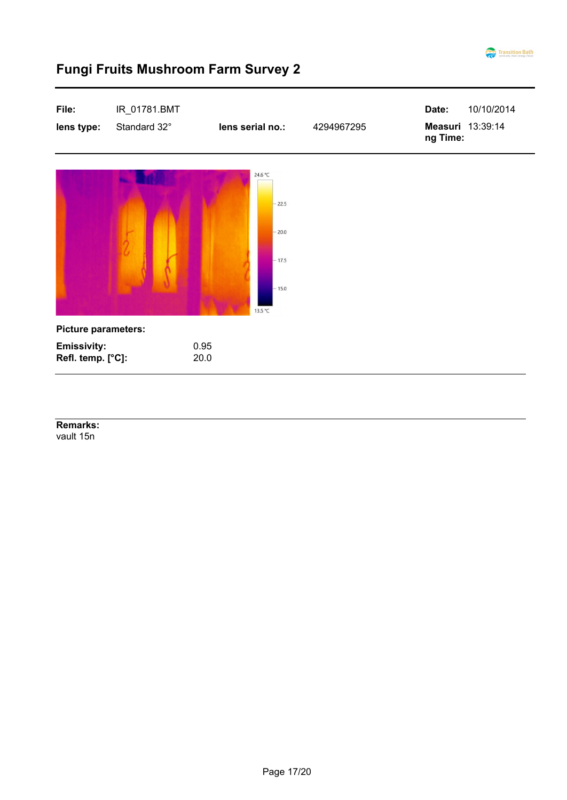

# **File:** IR\_01781.BMT 10/10/2014 **Date: lens type:** Standard 32° **lens serial no.: 4294967295 13:39:14** 13:39:14 **ng Time:** 24.6 °C  $-22.5$  $-20.0$  $-17.5$ 15.0 13.5 °C **Picture parameters: Emissivity:** 0.95 **Refl. temp. [°C]:** 20.0

### **Fungi Fruits Mushroom Farm Survey 2**

vault 15n **Remarks:**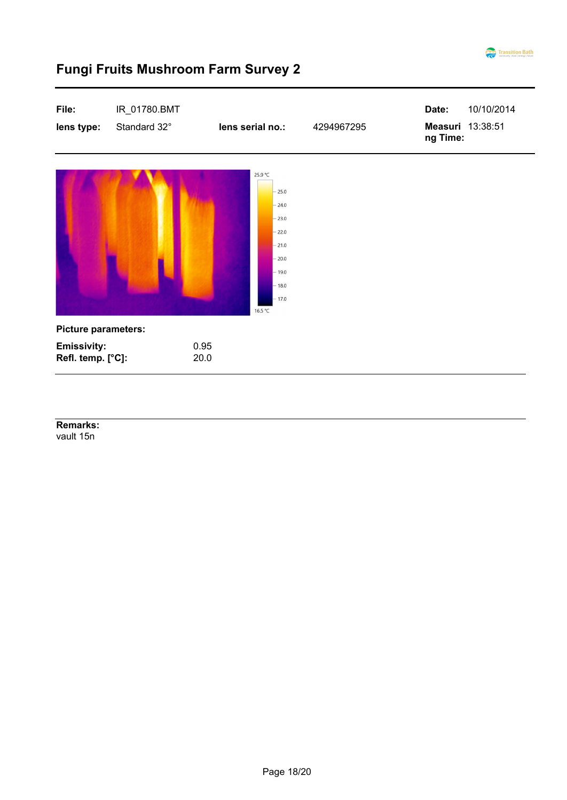

| File:<br>lens type:                     | IR_01780.BMT<br>Standard 32° | lens serial no.:                                                                                                      | 4294967295 | Date:<br>ng Time: | 10/10/2014<br>Measuri 13:38:51 |
|-----------------------------------------|------------------------------|-----------------------------------------------------------------------------------------------------------------------|------------|-------------------|--------------------------------|
|                                         |                              | 25.9 °C<br>$-25.0$<br>$-24.0$<br>$-23.0$<br>$-22.0$<br>$-21.0$<br>$-20.0$<br>$-19.0$<br>$-18.0$<br>$-17.0$<br>16.5 °C |            |                   |                                |
| <b>Picture parameters:</b>              |                              |                                                                                                                       |            |                   |                                |
| <b>Emissivity:</b><br>Refl. temp. [°C]: | 0.95<br>20.0                 |                                                                                                                       |            |                   |                                |

vault 15n **Remarks:**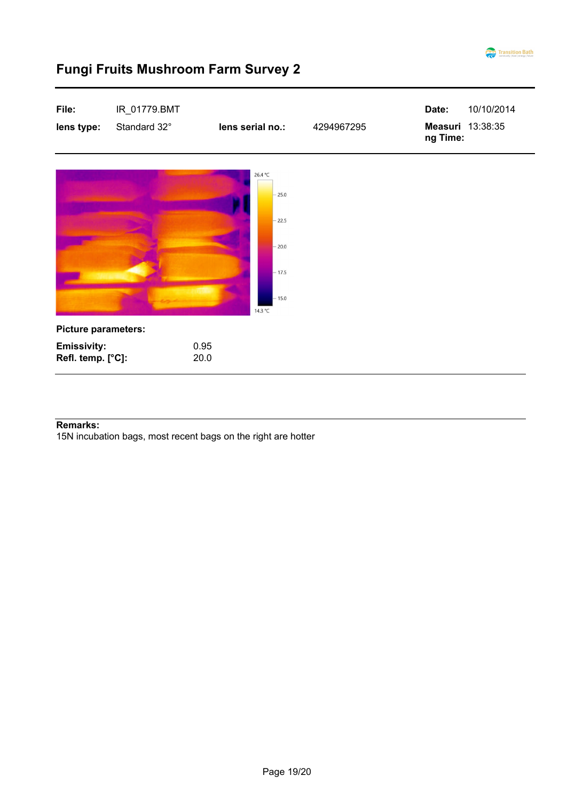

| File:                                   | IR_01779.BMT |                                                                           |            | Date:    | 10/10/2014       |
|-----------------------------------------|--------------|---------------------------------------------------------------------------|------------|----------|------------------|
| lens type:                              | Standard 32° | lens serial no.:                                                          | 4294967295 | ng Time: | Measuri 13:38:35 |
|                                         |              | 26.4 °C<br>$-25.0$<br>$-22.5$<br>$-20.0$<br>$-17.5$<br>$-15.0$<br>14.3 °C |            |          |                  |
| <b>Picture parameters:</b>              |              |                                                                           |            |          |                  |
| <b>Emissivity:</b><br>Refl. temp. [°C]: | 0.95<br>20.0 |                                                                           |            |          |                  |

#### **Remarks:**

15N incubation bags, most recent bags on the right are hotter